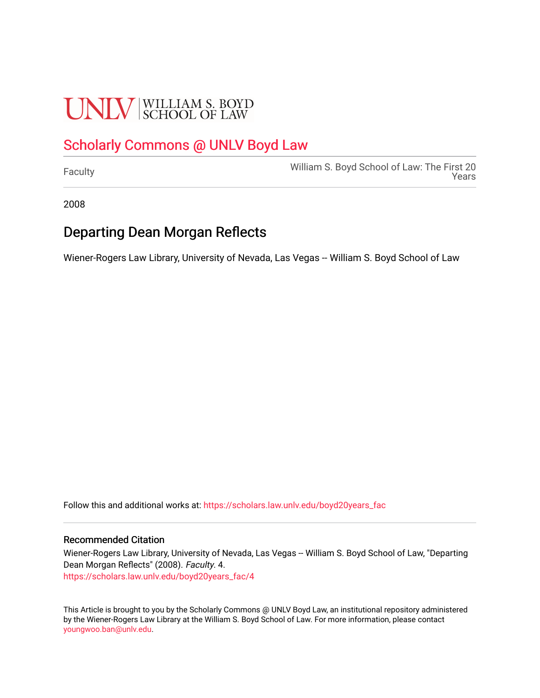## **UNLV** SCHOOL OF LAW

## [Scholarly Commons @ UNLV Boyd Law](https://scholars.law.unlv.edu/)

[Faculty](https://scholars.law.unlv.edu/boyd20years_fac) [William S. Boyd School of Law: The First 20](https://scholars.law.unlv.edu/boyd20years)  [Years](https://scholars.law.unlv.edu/boyd20years) 

2008

## Departing Dean Morgan Reflects

Wiener-Rogers Law Library, University of Nevada, Las Vegas -- William S. Boyd School of Law

Follow this and additional works at: [https://scholars.law.unlv.edu/boyd20years\\_fac](https://scholars.law.unlv.edu/boyd20years_fac?utm_source=scholars.law.unlv.edu%2Fboyd20years_fac%2F4&utm_medium=PDF&utm_campaign=PDFCoverPages) 

#### Recommended Citation

Wiener-Rogers Law Library, University of Nevada, Las Vegas -- William S. Boyd School of Law, "Departing Dean Morgan Reflects" (2008). Faculty. 4. [https://scholars.law.unlv.edu/boyd20years\\_fac/4](https://scholars.law.unlv.edu/boyd20years_fac/4?utm_source=scholars.law.unlv.edu%2Fboyd20years_fac%2F4&utm_medium=PDF&utm_campaign=PDFCoverPages) 

This Article is brought to you by the Scholarly Commons @ UNLV Boyd Law, an institutional repository administered by the Wiener-Rogers Law Library at the William S. Boyd School of Law. For more information, please contact [youngwoo.ban@unlv.edu.](mailto:youngwoo.ban@unlv.edu)